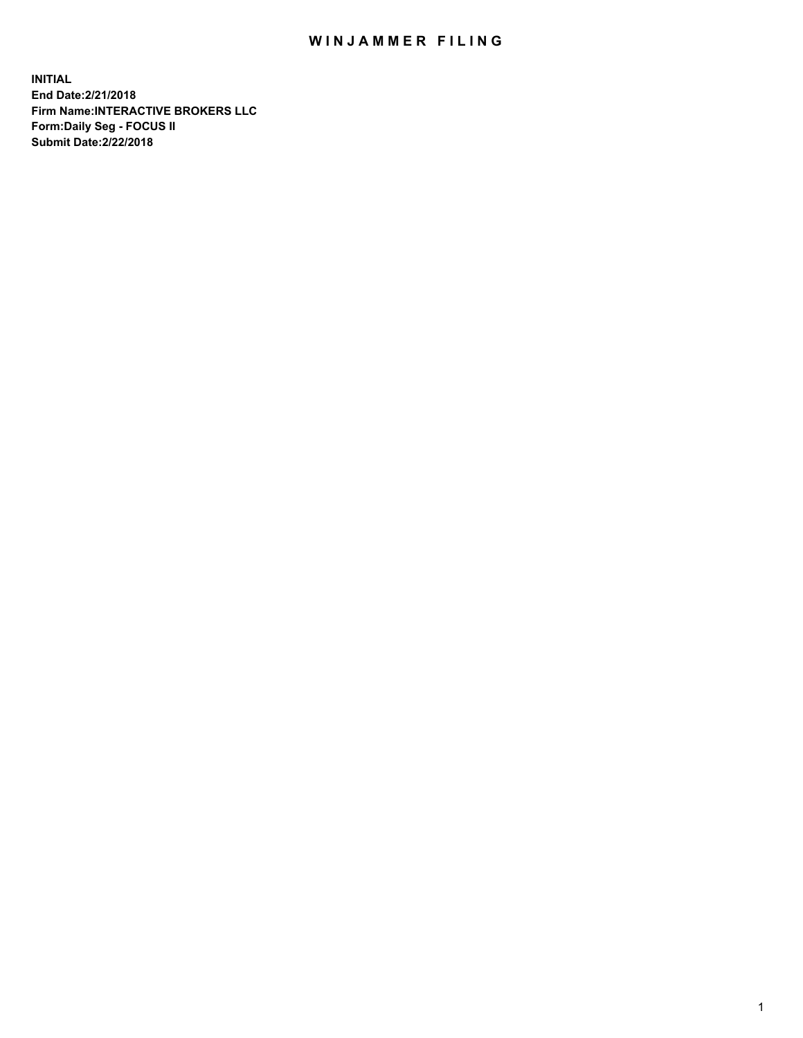## WIN JAMMER FILING

**INITIAL End Date:2/21/2018 Firm Name:INTERACTIVE BROKERS LLC Form:Daily Seg - FOCUS II Submit Date:2/22/2018**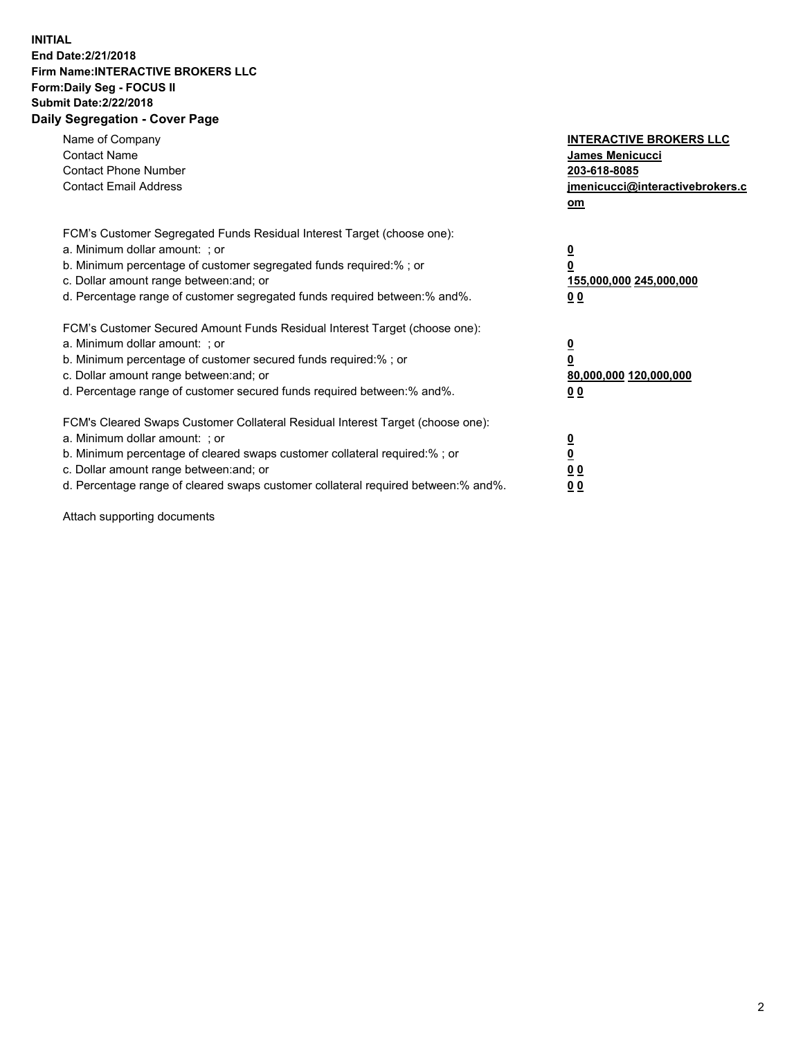## **INITIAL End Date:2/21/2018 Firm Name:INTERACTIVE BROKERS LLC Form:Daily Seg - FOCUS II Submit Date:2/22/2018 Daily Segregation - Cover Page**

| Name of Company<br><b>Contact Name</b><br><b>Contact Phone Number</b><br><b>Contact Email Address</b>                                                                                                                                                                                                                          | <b>INTERACTIVE BROKERS LLC</b><br>James Menicucci<br>203-618-8085<br>jmenicucci@interactivebrokers.c<br>om |
|--------------------------------------------------------------------------------------------------------------------------------------------------------------------------------------------------------------------------------------------------------------------------------------------------------------------------------|------------------------------------------------------------------------------------------------------------|
| FCM's Customer Segregated Funds Residual Interest Target (choose one):<br>a. Minimum dollar amount: ; or<br>b. Minimum percentage of customer segregated funds required:%; or<br>c. Dollar amount range between: and; or<br>d. Percentage range of customer segregated funds required between:% and%.                          | $\overline{\mathbf{0}}$<br>0<br>155,000,000 245,000,000<br>0 <sub>0</sub>                                  |
| FCM's Customer Secured Amount Funds Residual Interest Target (choose one):<br>a. Minimum dollar amount: ; or<br>b. Minimum percentage of customer secured funds required:%; or<br>c. Dollar amount range between: and; or<br>d. Percentage range of customer secured funds required between:% and%.                            | $\overline{\mathbf{0}}$<br>$\overline{\mathbf{0}}$<br>80,000,000 120,000,000<br>00                         |
| FCM's Cleared Swaps Customer Collateral Residual Interest Target (choose one):<br>a. Minimum dollar amount: ; or<br>b. Minimum percentage of cleared swaps customer collateral required:% ; or<br>c. Dollar amount range between: and; or<br>d. Percentage range of cleared swaps customer collateral required between:% and%. | $\overline{\mathbf{0}}$<br>$\overline{\mathbf{0}}$<br>0 <sub>0</sub><br><u>00</u>                          |

Attach supporting documents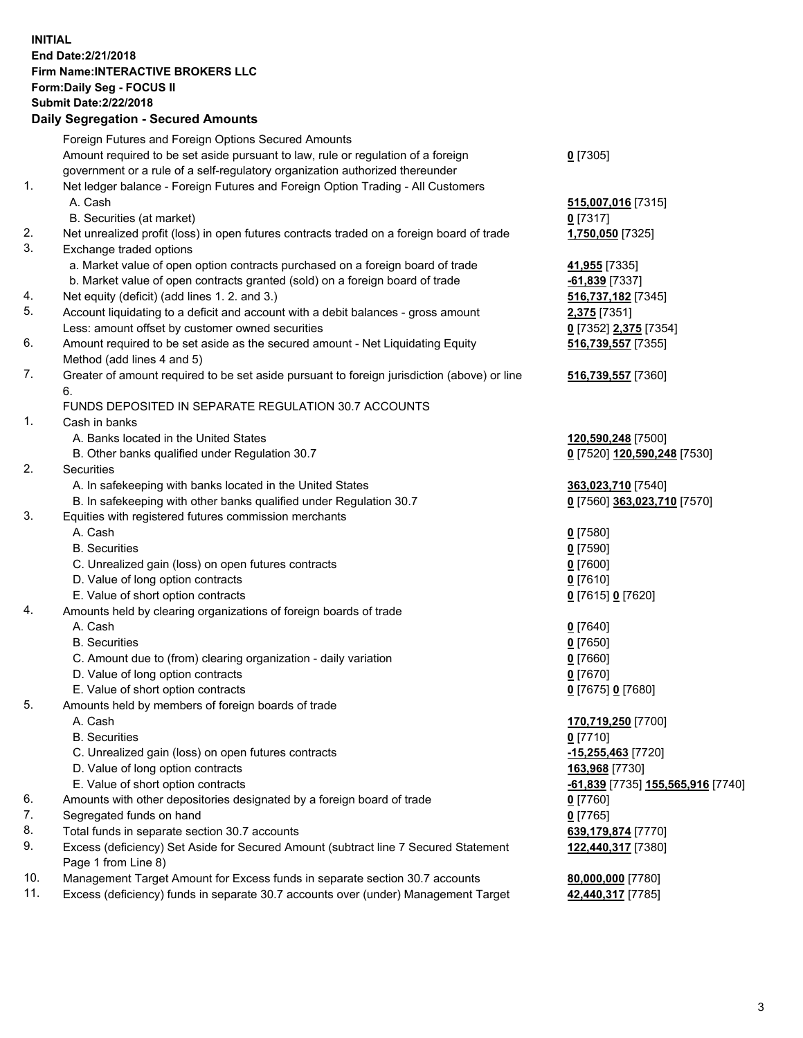## **INITIAL End Date:2/21/2018 Firm Name:INTERACTIVE BROKERS LLC Form:Daily Seg - FOCUS II Submit Date:2/22/2018 Daily Segregation - Secured Amounts**

|     | Daily Segregation - Secured Amounts                                                         |                                   |
|-----|---------------------------------------------------------------------------------------------|-----------------------------------|
|     | Foreign Futures and Foreign Options Secured Amounts                                         |                                   |
|     | Amount required to be set aside pursuant to law, rule or regulation of a foreign            | $0$ [7305]                        |
|     | government or a rule of a self-regulatory organization authorized thereunder                |                                   |
| 1.  | Net ledger balance - Foreign Futures and Foreign Option Trading - All Customers             |                                   |
|     | A. Cash                                                                                     | 515,007,016 [7315]                |
|     | B. Securities (at market)                                                                   | $0$ [7317]                        |
| 2.  | Net unrealized profit (loss) in open futures contracts traded on a foreign board of trade   | 1,750,050 [7325]                  |
| 3.  | Exchange traded options                                                                     |                                   |
|     | a. Market value of open option contracts purchased on a foreign board of trade              | 41,955 [7335]                     |
|     | b. Market value of open contracts granted (sold) on a foreign board of trade                | -61,839 [7337]                    |
| 4.  | Net equity (deficit) (add lines 1. 2. and 3.)                                               | 516,737,182 [7345]                |
| 5.  | Account liquidating to a deficit and account with a debit balances - gross amount           | 2,375 [7351]                      |
|     | Less: amount offset by customer owned securities                                            | 0 [7352] 2,375 [7354]             |
| 6.  | Amount required to be set aside as the secured amount - Net Liquidating Equity              | 516,739,557 [7355]                |
|     | Method (add lines 4 and 5)                                                                  |                                   |
| 7.  | Greater of amount required to be set aside pursuant to foreign jurisdiction (above) or line | 516,739,557 [7360]                |
|     | 6.                                                                                          |                                   |
|     | FUNDS DEPOSITED IN SEPARATE REGULATION 30.7 ACCOUNTS                                        |                                   |
| 1.  | Cash in banks                                                                               |                                   |
|     | A. Banks located in the United States                                                       | 120,590,248 [7500]                |
|     | B. Other banks qualified under Regulation 30.7                                              | 0 [7520] 120,590,248 [7530]       |
| 2.  | Securities                                                                                  |                                   |
|     | A. In safekeeping with banks located in the United States                                   | 363,023,710 [7540]                |
|     | B. In safekeeping with other banks qualified under Regulation 30.7                          | 0 [7560] 363,023,710 [7570]       |
| 3.  | Equities with registered futures commission merchants                                       |                                   |
|     | A. Cash                                                                                     | $0$ [7580]                        |
|     | <b>B.</b> Securities                                                                        | $0$ [7590]                        |
|     | C. Unrealized gain (loss) on open futures contracts                                         | $0$ [7600]                        |
|     | D. Value of long option contracts                                                           | $0$ [7610]                        |
|     | E. Value of short option contracts                                                          | 0 [7615] 0 [7620]                 |
| 4.  | Amounts held by clearing organizations of foreign boards of trade                           |                                   |
|     | A. Cash                                                                                     | $0$ [7640]                        |
|     | <b>B.</b> Securities                                                                        | $0$ [7650]                        |
|     | C. Amount due to (from) clearing organization - daily variation                             | $0$ [7660]                        |
|     | D. Value of long option contracts                                                           | $0$ [7670]                        |
|     | E. Value of short option contracts                                                          | 0 [7675] 0 [7680]                 |
| 5.  | Amounts held by members of foreign boards of trade                                          |                                   |
|     | A. Cash                                                                                     | 170,719,250 [7700]                |
|     | <b>B.</b> Securities                                                                        | $0$ [7710]                        |
|     | C. Unrealized gain (loss) on open futures contracts                                         | -15,255,463 [7720]                |
|     | D. Value of long option contracts                                                           | 163,968 [7730]                    |
|     | E. Value of short option contracts                                                          | -61,839 [7735] 155,565,916 [7740] |
| 6.  | Amounts with other depositories designated by a foreign board of trade                      | 0 [7760]                          |
| 7.  | Segregated funds on hand                                                                    | $0$ [7765]                        |
| 8.  | Total funds in separate section 30.7 accounts                                               | 639,179,874 [7770]                |
| 9.  | Excess (deficiency) Set Aside for Secured Amount (subtract line 7 Secured Statement         | 122,440,317 [7380]                |
|     | Page 1 from Line 8)                                                                         |                                   |
| 10. | Management Target Amount for Excess funds in separate section 30.7 accounts                 | 80,000,000 [7780]                 |
| 11. | Excess (deficiency) funds in separate 30.7 accounts over (under) Management Target          | 42,440,317 [7785]                 |
|     |                                                                                             |                                   |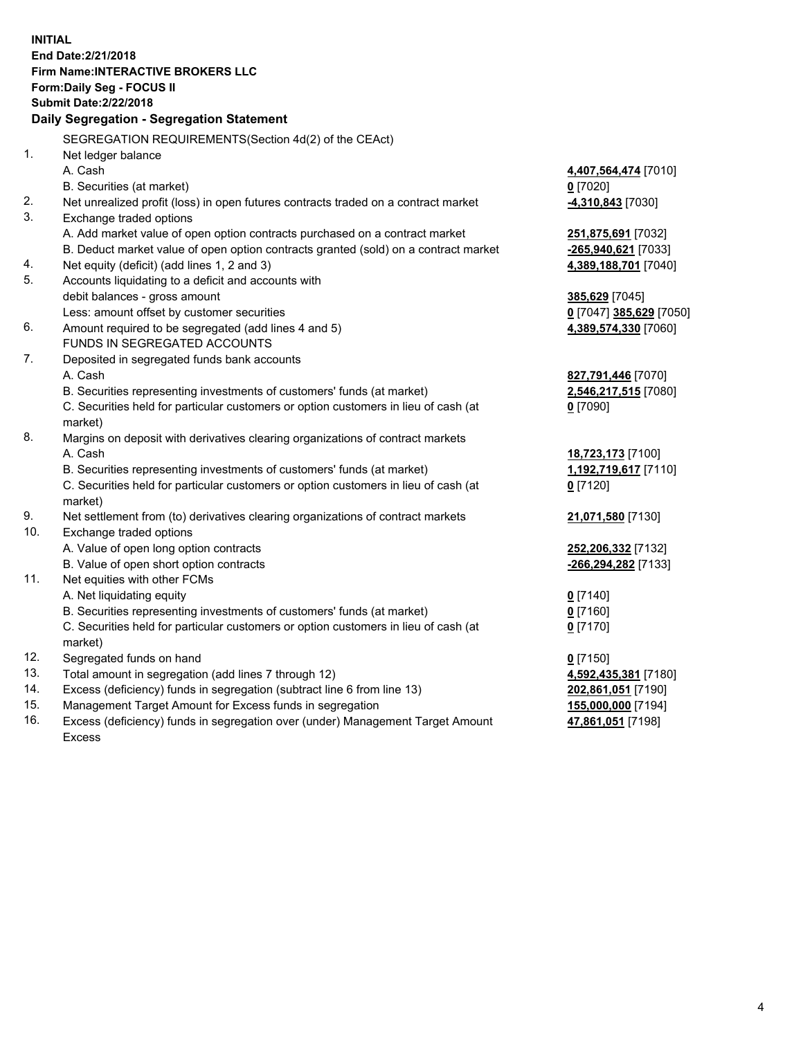**INITIAL End Date:2/21/2018 Firm Name:INTERACTIVE BROKERS LLC Form:Daily Seg - FOCUS II Submit Date:2/22/2018 Daily Segregation - Segregation Statement** SEGREGATION REQUIREMENTS(Section 4d(2) of the CEAct) 1. Net ledger balance A. Cash **4,407,564,474** [7010] B. Securities (at market) **0** [7020] 2. Net unrealized profit (loss) in open futures contracts traded on a contract market **-4,310,843** [7030] 3. Exchange traded options A. Add market value of open option contracts purchased on a contract market **251,875,691** [7032] B. Deduct market value of open option contracts granted (sold) on a contract market **-265,940,621** [7033] 4. Net equity (deficit) (add lines 1, 2 and 3) **4,389,188,701** [7040] 5. Accounts liquidating to a deficit and accounts with debit balances - gross amount **385,629** [7045] Less: amount offset by customer securities **0** [7047] **385,629** [7050] 6. Amount required to be segregated (add lines 4 and 5) **4,389,574,330** [7060] FUNDS IN SEGREGATED ACCOUNTS 7. Deposited in segregated funds bank accounts A. Cash **827,791,446** [7070] B. Securities representing investments of customers' funds (at market) **2,546,217,515** [7080] C. Securities held for particular customers or option customers in lieu of cash (at market) **0** [7090] 8. Margins on deposit with derivatives clearing organizations of contract markets A. Cash **18,723,173** [7100] B. Securities representing investments of customers' funds (at market) **1,192,719,617** [7110] C. Securities held for particular customers or option customers in lieu of cash (at market) **0** [7120] 9. Net settlement from (to) derivatives clearing organizations of contract markets **21,071,580** [7130] 10. Exchange traded options A. Value of open long option contracts **252,206,332** [7132] B. Value of open short option contracts **-266,294,282** [7133] 11. Net equities with other FCMs A. Net liquidating equity **0** [7140] B. Securities representing investments of customers' funds (at market) **0** [7160] C. Securities held for particular customers or option customers in lieu of cash (at market) **0** [7170] 12. Segregated funds on hand **0** [7150] 13. Total amount in segregation (add lines 7 through 12) **4,592,435,381** [7180] 14. Excess (deficiency) funds in segregation (subtract line 6 from line 13) **202,861,051** [7190] 15. Management Target Amount for Excess funds in segregation **155,000,000** [7194]

16. Excess (deficiency) funds in segregation over (under) Management Target Amount Excess

**47,861,051** [7198]